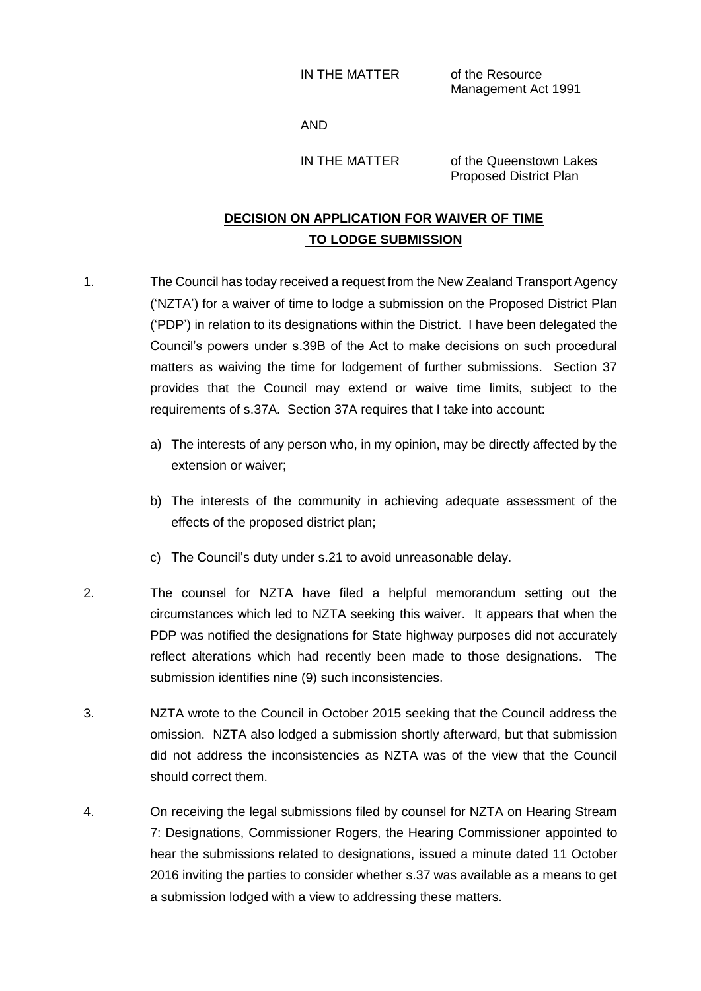IN THE MATTER of the Resource

Management Act 1991

AND

IN THE MATTER of the Queenstown Lakes Proposed District Plan

## **DECISION ON APPLICATION FOR WAIVER OF TIME TO LODGE SUBMISSION**

- 1. The Council has today received a request from the New Zealand Transport Agency ('NZTA') for a waiver of time to lodge a submission on the Proposed District Plan ('PDP') in relation to its designations within the District. I have been delegated the Council's powers under s.39B of the Act to make decisions on such procedural matters as waiving the time for lodgement of further submissions. Section 37 provides that the Council may extend or waive time limits, subject to the requirements of s.37A. Section 37A requires that I take into account:
	- a) The interests of any person who, in my opinion, may be directly affected by the extension or waiver;
	- b) The interests of the community in achieving adequate assessment of the effects of the proposed district plan;
	- c) The Council's duty under s.21 to avoid unreasonable delay.
- 2. The counsel for NZTA have filed a helpful memorandum setting out the circumstances which led to NZTA seeking this waiver. It appears that when the PDP was notified the designations for State highway purposes did not accurately reflect alterations which had recently been made to those designations. The submission identifies nine (9) such inconsistencies.
- 3. NZTA wrote to the Council in October 2015 seeking that the Council address the omission. NZTA also lodged a submission shortly afterward, but that submission did not address the inconsistencies as NZTA was of the view that the Council should correct them.
- 4. On receiving the legal submissions filed by counsel for NZTA on Hearing Stream 7: Designations, Commissioner Rogers, the Hearing Commissioner appointed to hear the submissions related to designations, issued a minute dated 11 October 2016 inviting the parties to consider whether s.37 was available as a means to get a submission lodged with a view to addressing these matters.